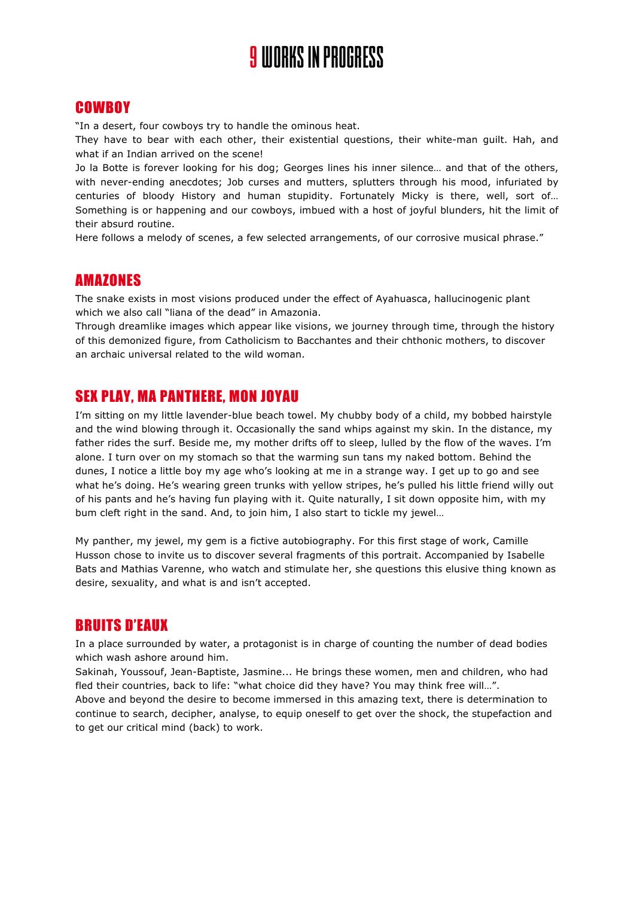# **9 ilineks in progress**

## **COWBOY**

"In a desert, four cowboys try to handle the ominous heat.

They have to bear with each other, their existential questions, their white-man guilt. Hah, and what if an Indian arrived on the scene!

Jo la Botte is forever looking for his dog; Georges lines his inner silence… and that of the others, with never-ending anecdotes; Job curses and mutters, splutters through his mood, infuriated by centuries of bloody History and human stupidity. Fortunately Micky is there, well, sort of… Something is or happening and our cowboys, imbued with a host of joyful blunders, hit the limit of their absurd routine.

Here follows a melody of scenes, a few selected arrangements, of our corrosive musical phrase."

#### AMAZONES

The snake exists in most visions produced under the effect of Ayahuasca, hallucinogenic plant which we also call "liana of the dead" in Amazonia.

Through dreamlike images which appear like visions, we journey through time, through the history of this demonized figure, from Catholicism to Bacchantes and their chthonic mothers, to discover an archaic universal related to the wild woman.

## SEX PLAY, MA PANTHERE, MON JOYAU

I'm sitting on my little lavender-blue beach towel. My chubby body of a child, my bobbed hairstyle and the wind blowing through it. Occasionally the sand whips against my skin. In the distance, my father rides the surf. Beside me, my mother drifts off to sleep, lulled by the flow of the waves. I'm alone. I turn over on my stomach so that the warming sun tans my naked bottom. Behind the dunes, I notice a little boy my age who's looking at me in a strange way. I get up to go and see what he's doing. He's wearing green trunks with yellow stripes, he's pulled his little friend willy out of his pants and he's having fun playing with it. Quite naturally, I sit down opposite him, with my bum cleft right in the sand. And, to join him, I also start to tickle my jewel…

My panther, my jewel, my gem is a fictive autobiography. For this first stage of work, Camille Husson chose to invite us to discover several fragments of this portrait. Accompanied by Isabelle Bats and Mathias Varenne, who watch and stimulate her, she questions this elusive thing known as desire, sexuality, and what is and isn't accepted.

## BRUITS D'EAUX

In a place surrounded by water, a protagonist is in charge of counting the number of dead bodies which wash ashore around him.

Sakinah, Youssouf, Jean-Baptiste, Jasmine... He brings these women, men and children, who had fled their countries, back to life: "what choice did they have? You may think free will…".

Above and beyond the desire to become immersed in this amazing text, there is determination to continue to search, decipher, analyse, to equip oneself to get over the shock, the stupefaction and to get our critical mind (back) to work.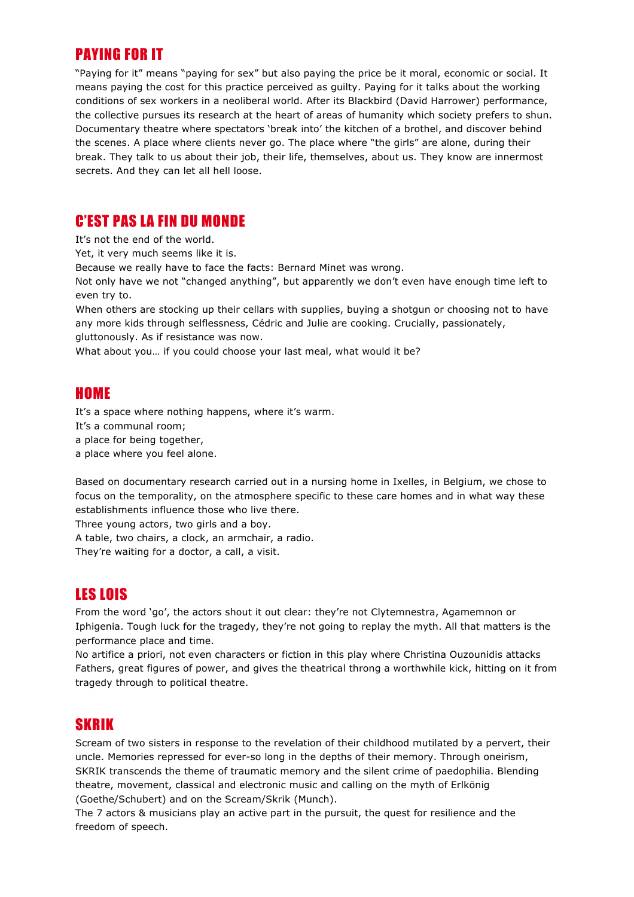## PAYING FOR IT

"Paying for it" means "paying for sex" but also paying the price be it moral, economic or social. It means paying the cost for this practice perceived as guilty. Paying for it talks about the working conditions of sex workers in a neoliberal world. After its Blackbird (David Harrower) performance, the collective pursues its research at the heart of areas of humanity which society prefers to shun. Documentary theatre where spectators 'break into' the kitchen of a brothel, and discover behind the scenes. A place where clients never go. The place where "the girls" are alone, during their break. They talk to us about their job, their life, themselves, about us. They know are innermost secrets. And they can let all hell loose.

## C'EST PAS LA FIN DU MONDE

It's not the end of the world. Yet, it very much seems like it is. Because we really have to face the facts: Bernard Minet was wrong. Not only have we not "changed anything", but apparently we don't even have enough time left to even try to. When others are stocking up their cellars with supplies, buying a shotgun or choosing not to have any more kids through selflessness, Cédric and Julie are cooking. Crucially, passionately,

gluttonously. As if resistance was now.

What about you… if you could choose your last meal, what would it be?

## **HOME**

It's a space where nothing happens, where it's warm.

It's a communal room;

a place for being together,

a place where you feel alone.

Based on documentary research carried out in a nursing home in Ixelles, in Belgium, we chose to focus on the temporality, on the atmosphere specific to these care homes and in what way these establishments influence those who live there.

Three young actors, two girls and a boy.

A table, two chairs, a clock, an armchair, a radio.

They're waiting for a doctor, a call, a visit.

## LES LOIS

From the word 'go', the actors shout it out clear: they're not Clytemnestra, Agamemnon or Iphigenia. Tough luck for the tragedy, they're not going to replay the myth. All that matters is the performance place and time.

No artifice a priori, not even characters or fiction in this play where Christina Ouzounidis attacks Fathers, great figures of power, and gives the theatrical throng a worthwhile kick, hitting on it from tragedy through to political theatre.

## SKRIK

Scream of two sisters in response to the revelation of their childhood mutilated by a pervert, their uncle. Memories repressed for ever-so long in the depths of their memory. Through oneirism, SKRIK transcends the theme of traumatic memory and the silent crime of paedophilia. Blending theatre, movement, classical and electronic music and calling on the myth of Erlkönig (Goethe/Schubert) and on the Scream/Skrik (Munch).

The 7 actors & musicians play an active part in the pursuit, the quest for resilience and the freedom of speech.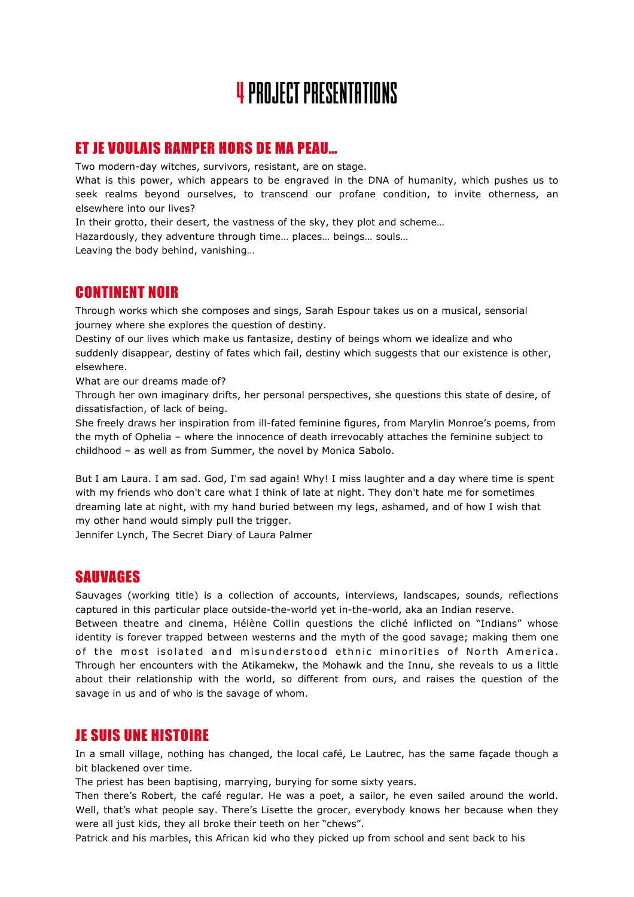## **4 project presentations**

## ET JE VOULAIS RAMPER HORS DE MA PEAU…

Two modern-day witches, survivors, resistant, are on stage.

What is this power, which appears to be engraved in the DNA of humanity, which pushes us to seek realms beyond ourselves, to transcend our profane condition, to invite otherness, an elsewhere into our lives?

In their grotto, their desert, the vastness of the sky, they plot and scheme…

Hazardously, they adventure through time… places… beings… souls…

Leaving the body behind, vanishing…

## CONTINENT NOIR

Through works which she composes and sings, Sarah Espour takes us on a musical, sensorial journey where she explores the question of destiny.

Destiny of our lives which make us fantasize, destiny of beings whom we idealize and who suddenly disappear, destiny of fates which fail, destiny which suggests that our existence is other, elsewhere.

What are our dreams made of?

Through her own imaginary drifts, her personal perspectives, she questions this state of desire, of dissatisfaction, of lack of being.

She freely draws her inspiration from ill-fated feminine figures, from Marylin Monroe's poems, from the myth of Ophelia – where the innocence of death irrevocably attaches the feminine subject to childhood – as well as from Summer, the novel by Monica Sabolo.

But I am Laura. I am sad. God, I'm sad again! Why! I miss laughter and a day where time is spent with my friends who don't care what I think of late at night. They don't hate me for sometimes dreaming late at night, with my hand buried between my legs, ashamed, and of how I wish that my other hand would simply pull the trigger.

Jennifer Lynch, The Secret Diary of Laura Palmer

## SAUVAGES

Sauvages (working title) is a collection of accounts, interviews, landscapes, sounds, reflections captured in this particular place outside-the-world yet in-the-world, aka an Indian reserve.

Between theatre and cinema, Hélène Collin questions the cliché inflicted on "Indians" whose identity is forever trapped between westerns and the myth of the good savage; making them one of the most isolated and misunderstood ethnic minorities of North America. Through her encounters with the Atikamekw, the Mohawk and the Innu, she reveals to us a little about their relationship with the world, so different from ours, and raises the question of the savage in us and of who is the savage of whom.

## JE SUIS UNE HISTOIRE

In a small village, nothing has changed, the local café, Le Lautrec, has the same façade though a bit blackened over time.

The priest has been baptising, marrying, burying for some sixty years.

Then there's Robert, the café regular. He was a poet, a sailor, he even sailed around the world. Well, that's what people say. There's Lisette the grocer, everybody knows her because when they were all just kids, they all broke their teeth on her "chews".

Patrick and his marbles, this African kid who they picked up from school and sent back to his